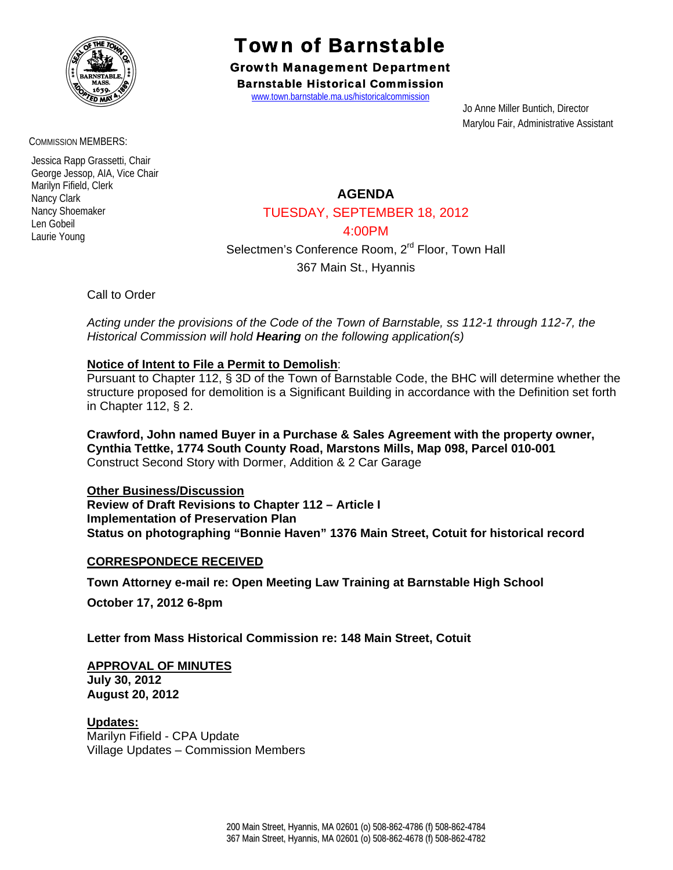

COMMISSION MEMBERS:

 Jessica Rapp Grassetti, Chair George Jessop, AIA, Vice Chair Marilyn Fifield, Clerk Nancy Clark Nancy Shoemaker Len Gobeil Laurie Young

# Town of Barnstable

Growth Management Department Barnstable Historical Commission

www.town.barnstable.ma.us/historicalcommission

 Jo Anne Miller Buntich, Director Marylou Fair, Administrative Assistant

**AGENDA** 

## TUESDAY, SEPTEMBER 18, 2012

4:00PM

Selectmen's Conference Room, 2<sup>rd</sup> Floor, Town Hall

367 Main St., Hyannis

Call to Order

*Acting under the provisions of the Code of the Town of Barnstable, ss 112-1 through 112-7, the Historical Commission will hold Hearing on the following application(s)* 

### **Notice of Intent to File a Permit to Demolish**:

Pursuant to Chapter 112, § 3D of the Town of Barnstable Code, the BHC will determine whether the structure proposed for demolition is a Significant Building in accordance with the Definition set forth in Chapter 112, § 2.

**Crawford, John named Buyer in a Purchase & Sales Agreement with the property owner, Cynthia Tettke, 1774 South County Road, Marstons Mills, Map 098, Parcel 010-001**  Construct Second Story with Dormer, Addition & 2 Car Garage

**Other Business/Discussion Review of Draft Revisions to Chapter 112 – Article I Implementation of Preservation Plan Status on photographing "Bonnie Haven" 1376 Main Street, Cotuit for historical record** 

### **CORRESPONDECE RECEIVED**

**Town Attorney e-mail re: Open Meeting Law Training at Barnstable High School**

**October 17, 2012 6-8pm** 

**Letter from Mass Historical Commission re: 148 Main Street, Cotuit** 

### **APPROVAL OF MINUTES**

**July 30, 2012 August 20, 2012** 

**Updates:** Marilyn Fifield - CPA Update Village Updates – Commission Members